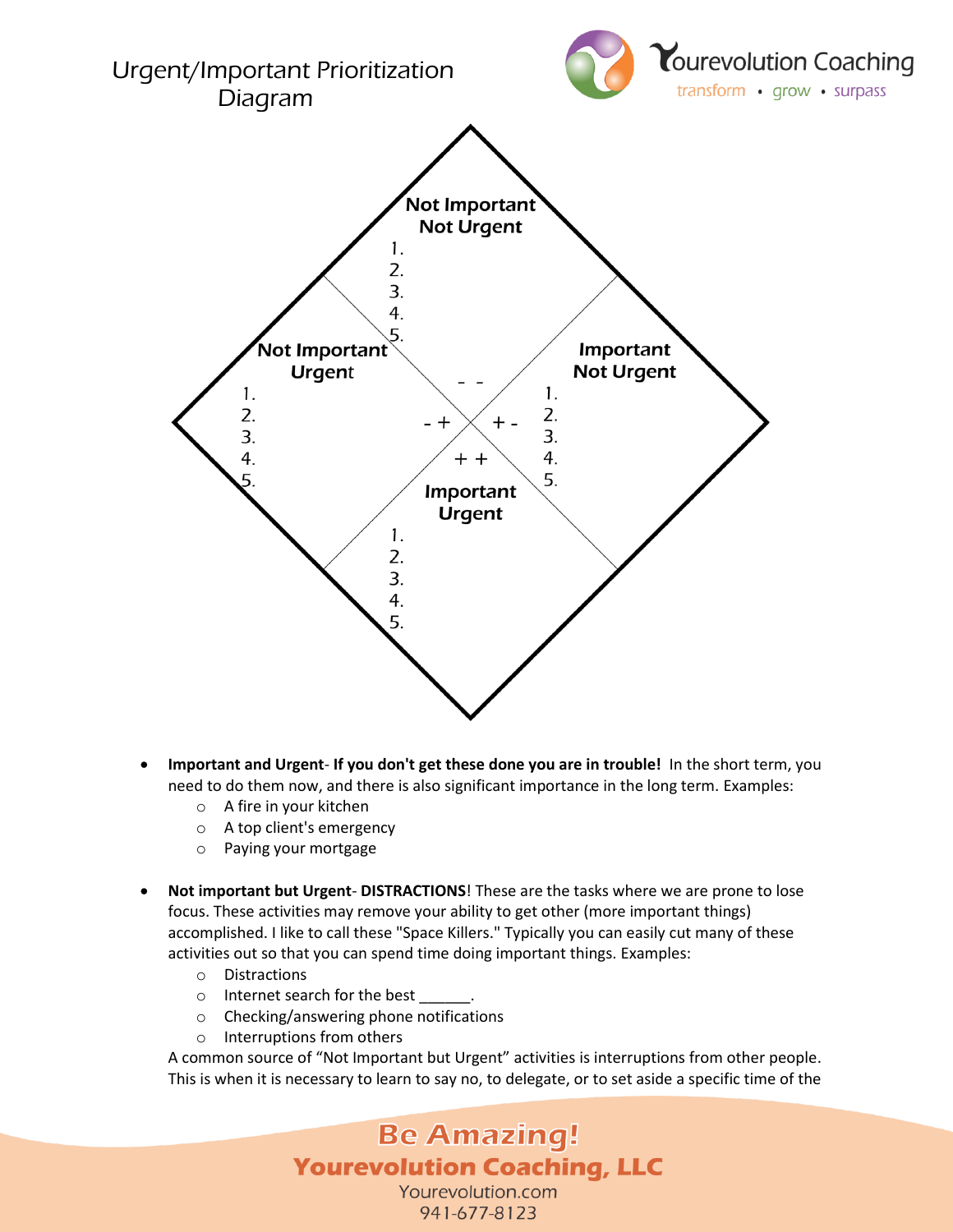

- **Important and Urgent If you don't get these done you are in trouble!** In the short term, you need to do them now, and there is also significant importance in the long term. Examples:
	- o A fire in your kitchen
	- o A top client's emergency
	- o Paying your mortgage
- **Not important but Urgent DISTRACTIONS**! These are the tasks where we are prone to lose focus. These activities may remove your ability to get other (more important things) accomplished. I like to call these "Space Killers." Typically you can easily cut many of these activities out so that you can spend time doing important things. Examples:
	- o Distractions
	- o Internet search for the best
	- o Checking/answering phone notifications
	- o Interruptions from others

A common source of "Not Important but Urgent" activities is interruptions from other people. This is when it is necessary to learn to say no, to delegate, or to set aside a specific time of the

## **Be Amazing! Yourevolution Coaching, LLC** Yourevolution.com 941-677-8123